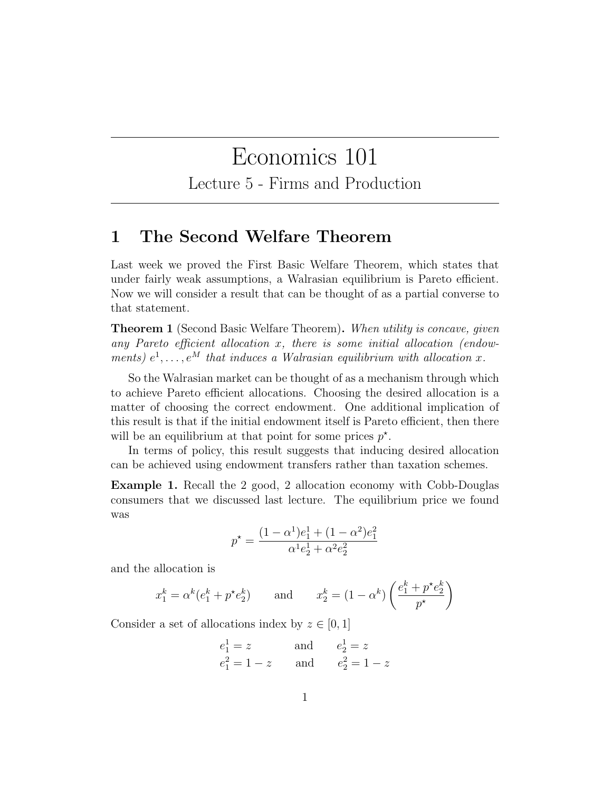# Economics 101

Lecture 5 - Firms and Production

### 1 The Second Welfare Theorem

Last week we proved the First Basic Welfare Theorem, which states that under fairly weak assumptions, a Walrasian equilibrium is Pareto efficient. Now we will consider a result that can be thought of as a partial converse to that statement.

Theorem 1 (Second Basic Welfare Theorem). When utility is concave, given any Pareto efficient allocation  $x$ , there is some initial allocation (endowments)  $e^1, \ldots, e^M$  that induces a Walrasian equilibrium with allocation x.

So the Walrasian market can be thought of as a mechanism through which to achieve Pareto efficient allocations. Choosing the desired allocation is a matter of choosing the correct endowment. One additional implication of this result is that if the initial endowment itself is Pareto efficient, then there will be an equilibrium at that point for some prices  $p^*$ .

In terms of policy, this result suggests that inducing desired allocation can be achieved using endowment transfers rather than taxation schemes.

Example 1. Recall the 2 good, 2 allocation economy with Cobb-Douglas consumers that we discussed last lecture. The equilibrium price we found was

$$
p^* = \frac{(1 - \alpha^1)e_1^1 + (1 - \alpha^2)e_1^2}{\alpha^1 e_2^1 + \alpha^2 e_2^2}
$$

and the allocation is

$$
x_1^k = \alpha^k (e_1^k + p^* e_2^k)
$$
 and  $x_2^k = (1 - \alpha^k) \left( \frac{e_1^k + p^* e_2^k}{p^*} \right)$ 

Consider a set of allocations index by  $z \in [0,1]$ 

$$
e_1^1 = z
$$
 and  $e_2^1 = z$   
\n $e_1^2 = 1 - z$  and  $e_2^2 = 1 - z$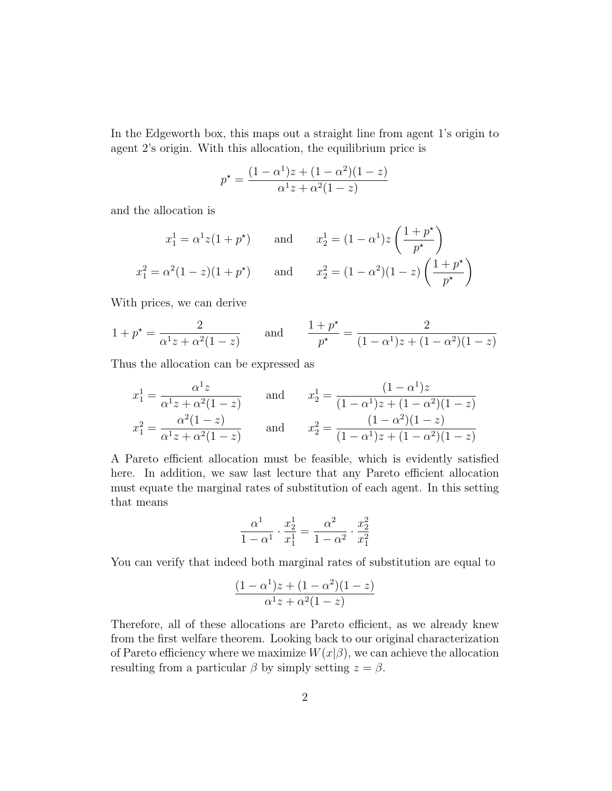In the Edgeworth box, this maps out a straight line from agent 1's origin to agent 2's origin. With this allocation, the equilibrium price is

$$
p^* = \frac{(1 - \alpha^1)z + (1 - \alpha^2)(1 - z)}{\alpha^1 z + \alpha^2(1 - z)}
$$

and the allocation is

$$
x_1^1 = \alpha^1 z (1 + p^*)
$$
 and  $x_2^1 = (1 - \alpha^1) z \left( \frac{1 + p^*}{p^*} \right)$   
 $x_1^2 = \alpha^2 (1 - z) (1 + p^*)$  and  $x_2^2 = (1 - \alpha^2) (1 - z) \left( \frac{1 + p^*}{p^*} \right)$ 

With prices, we can derive

$$
1 + p^* = \frac{2}{\alpha^1 z + \alpha^2 (1 - z)}
$$
 and  $\frac{1 + p^*}{p^*} = \frac{2}{(1 - \alpha^1) z + (1 - \alpha^2)(1 - z)}$ 

Thus the allocation can be expressed as

$$
x_1^1 = \frac{\alpha^1 z}{\alpha^1 z + \alpha^2 (1 - z)}
$$
 and 
$$
x_2^1 = \frac{(1 - \alpha^1) z}{(1 - \alpha^1) z + (1 - \alpha^2) (1 - z)}
$$
  

$$
x_1^2 = \frac{\alpha^2 (1 - z)}{\alpha^1 z + \alpha^2 (1 - z)}
$$
 and 
$$
x_2^2 = \frac{(1 - \alpha^2) (1 - z)}{(1 - \alpha^1) z + (1 - \alpha^2) (1 - z)}
$$

A Pareto efficient allocation must be feasible, which is evidently satisfied here. In addition, we saw last lecture that any Pareto efficient allocation must equate the marginal rates of substitution of each agent. In this setting that means

$$
\frac{\alpha^1}{1-\alpha^1} \cdot \frac{x_2^1}{x_1^1} = \frac{\alpha^2}{1-\alpha^2} \cdot \frac{x_2^2}{x_1^2}
$$

You can verify that indeed both marginal rates of substitution are equal to

$$
\frac{(1-\alpha^1)z + (1-\alpha^2)(1-z)}{\alpha^1 z + \alpha^2(1-z)}
$$

Therefore, all of these allocations are Pareto efficient, as we already knew from the first welfare theorem. Looking back to our original characterization of Pareto efficiency where we maximize  $W(x|\beta)$ , we can achieve the allocation resulting from a particular  $\beta$  by simply setting  $z = \beta$ .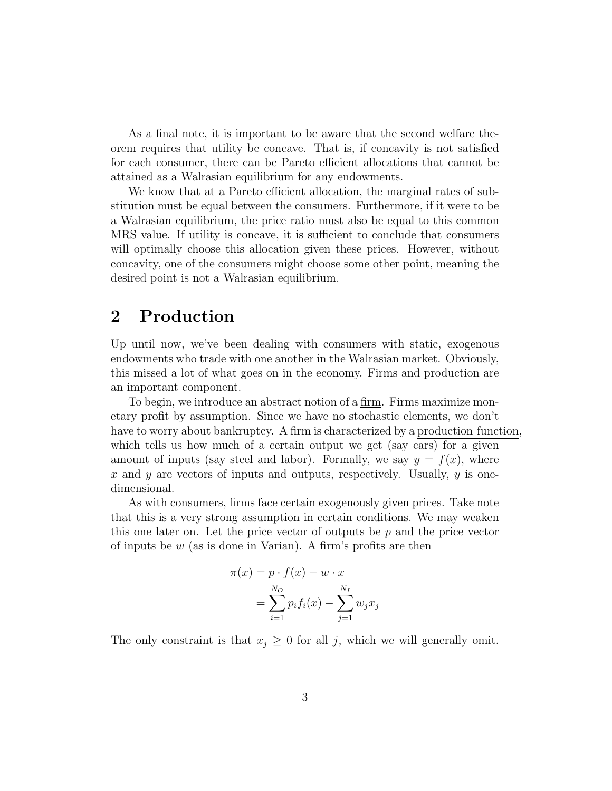As a final note, it is important to be aware that the second welfare theorem requires that utility be concave. That is, if concavity is not satisfied for each consumer, there can be Pareto efficient allocations that cannot be attained as a Walrasian equilibrium for any endowments.

We know that at a Pareto efficient allocation, the marginal rates of substitution must be equal between the consumers. Furthermore, if it were to be a Walrasian equilibrium, the price ratio must also be equal to this common MRS value. If utility is concave, it is sufficient to conclude that consumers will optimally choose this allocation given these prices. However, without concavity, one of the consumers might choose some other point, meaning the desired point is not a Walrasian equilibrium.

### 2 Production

Up until now, we've been dealing with consumers with static, exogenous endowments who trade with one another in the Walrasian market. Obviously, this missed a lot of what goes on in the economy. Firms and production are an important component.

To begin, we introduce an abstract notion of a firm. Firms maximize monetary profit by assumption. Since we have no stochastic elements, we don't have to worry about bankruptcy. A firm is characterized by a production function, which tells us how much of a certain output we get (say cars) for a given amount of inputs (say steel and labor). Formally, we say  $y = f(x)$ , where x and y are vectors of inputs and outputs, respectively. Usually,  $y$  is onedimensional.

As with consumers, firms face certain exogenously given prices. Take note that this is a very strong assumption in certain conditions. We may weaken this one later on. Let the price vector of outputs be  $p$  and the price vector of inputs be  $w$  (as is done in Varian). A firm's profits are then

$$
\pi(x) = p \cdot f(x) - w \cdot x
$$

$$
= \sum_{i=1}^{N_O} p_i f_i(x) - \sum_{j=1}^{N_I} w_j x_j
$$

The only constraint is that  $x_j \geq 0$  for all j, which we will generally omit.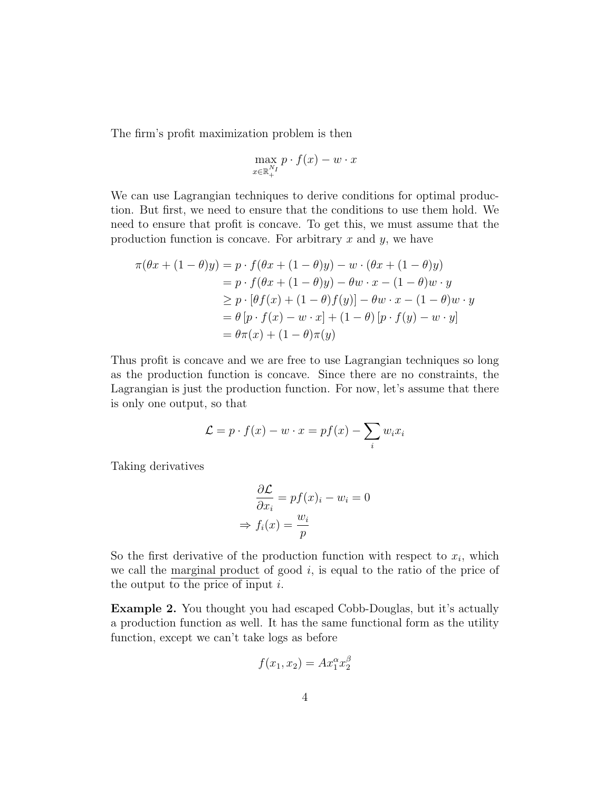The firm's profit maximization problem is then

$$
\max_{x \in \mathbb{R}_+^{N_I}} p \cdot f(x) - w \cdot x
$$

We can use Lagrangian techniques to derive conditions for optimal production. But first, we need to ensure that the conditions to use them hold. We need to ensure that profit is concave. To get this, we must assume that the production function is concave. For arbitrary  $x$  and  $y$ , we have

$$
\pi(\theta x + (1 - \theta)y) = p \cdot f(\theta x + (1 - \theta)y) - w \cdot (\theta x + (1 - \theta)y)
$$
  
=  $p \cdot f(\theta x + (1 - \theta)y) - \theta w \cdot x - (1 - \theta)w \cdot y$   
 $\ge p \cdot [\theta f(x) + (1 - \theta)f(y)] - \theta w \cdot x - (1 - \theta)w \cdot y$   
=  $\theta [p \cdot f(x) - w \cdot x] + (1 - \theta)[p \cdot f(y) - w \cdot y]$   
=  $\theta \pi(x) + (1 - \theta)\pi(y)$ 

Thus profit is concave and we are free to use Lagrangian techniques so long as the production function is concave. Since there are no constraints, the Lagrangian is just the production function. For now, let's assume that there is only one output, so that

$$
\mathcal{L} = p \cdot f(x) - w \cdot x = pf(x) - \sum_{i} w_i x_i
$$

Taking derivatives

$$
\frac{\partial \mathcal{L}}{\partial x_i} = pf(x)_i - w_i = 0
$$

$$
\Rightarrow f_i(x) = \frac{w_i}{p}
$$

So the first derivative of the production function with respect to  $x_i$ , which we call the marginal product of good  $i$ , is equal to the ratio of the price of the output to the price of input  $i$ .

Example 2. You thought you had escaped Cobb-Douglas, but it's actually a production function as well. It has the same functional form as the utility function, except we can't take logs as before

$$
f(x_1, x_2) = Ax_1^{\alpha} x_2^{\beta}
$$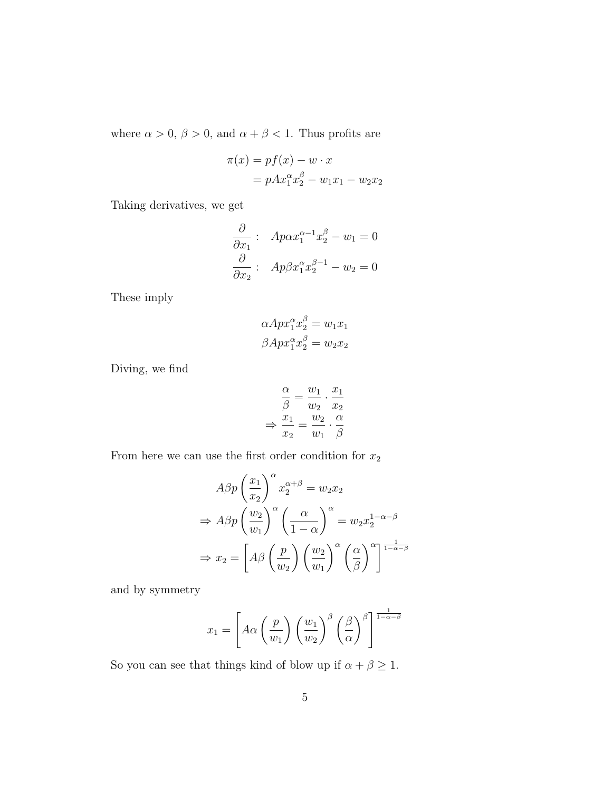where  $\alpha>0,\,\beta>0,$  and  $\alpha+\beta<1.$  Thus profits are

$$
\pi(x) = pf(x) - w \cdot x
$$

$$
= pAx_1^{\alpha}x_2^{\beta} - w_1x_1 - w_2x_2
$$

Taking derivatives, we get

$$
\frac{\partial}{\partial x_1} : A p \alpha x_1^{\alpha - 1} x_2^{\beta} - w_1 = 0
$$

$$
\frac{\partial}{\partial x_2} : A p \beta x_1^{\alpha} x_2^{\beta - 1} - w_2 = 0
$$

These imply

$$
\alpha A p x_1^{\alpha} x_2^{\beta} = w_1 x_1
$$

$$
\beta A p x_1^{\alpha} x_2^{\beta} = w_2 x_2
$$

Diving, we find

$$
\frac{\alpha}{\beta} = \frac{w_1}{w_2} \cdot \frac{x_1}{x_2}
$$

$$
\Rightarrow \frac{x_1}{x_2} = \frac{w_2}{w_1} \cdot \frac{\alpha}{\beta}
$$

From here we can use the first order condition for  $\boldsymbol{x}_2$ 

$$
A\beta p \left(\frac{x_1}{x_2}\right)^{\alpha} x_2^{\alpha+\beta} = w_2 x_2
$$
  
\n
$$
\Rightarrow A\beta p \left(\frac{w_2}{w_1}\right)^{\alpha} \left(\frac{\alpha}{1-\alpha}\right)^{\alpha} = w_2 x_2^{1-\alpha-\beta}
$$
  
\n
$$
\Rightarrow x_2 = \left[A\beta \left(\frac{p}{w_2}\right) \left(\frac{w_2}{w_1}\right)^{\alpha} \left(\frac{\alpha}{\beta}\right)^{\alpha}\right]^{\frac{1}{1-\alpha-\beta}}
$$

and by symmetry

$$
x_1 = \left[ A\alpha \left( \frac{p}{w_1} \right) \left( \frac{w_1}{w_2} \right)^{\beta} \left( \frac{\beta}{\alpha} \right)^{\beta} \right]^{\frac{1}{1-\alpha-\beta}}
$$

So you can see that things kind of blow up if  $\alpha + \beta \geq 1$ .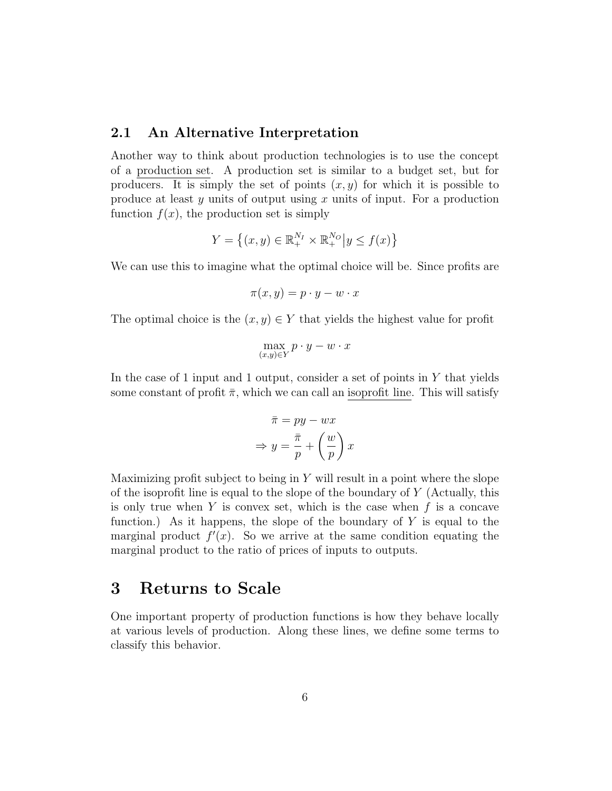#### 2.1 An Alternative Interpretation

Another way to think about production technologies is to use the concept of a production set. A production set is similar to a budget set, but for producers. It is simply the set of points  $(x, y)$  for which it is possible to produce at least  $y$  units of output using  $x$  units of input. For a production function  $f(x)$ , the production set is simply

$$
Y = \{(x, y) \in \mathbb{R}_+^{N_I} \times \mathbb{R}_+^{N_O} | y \le f(x) \}
$$

We can use this to imagine what the optimal choice will be. Since profits are

$$
\pi(x, y) = p \cdot y - w \cdot x
$$

The optimal choice is the  $(x, y) \in Y$  that yields the highest value for profit

$$
\max_{(x,y)\in Y} p\cdot y - w\cdot x
$$

In the case of 1 input and 1 output, consider a set of points in  $Y$  that yields some constant of profit  $\bar{\pi}$ , which we can call an isoprofit line. This will satisfy

$$
\bar{\pi} = py - wx
$$

$$
\Rightarrow y = \frac{\bar{\pi}}{p} + \left(\frac{w}{p}\right)x
$$

Maximizing profit subject to being in  $Y$  will result in a point where the slope of the isoprofit line is equal to the slope of the boundary of  $Y$  (Actually, this is only true when  $Y$  is convex set, which is the case when  $f$  is a concave function.) As it happens, the slope of the boundary of  $Y$  is equal to the marginal product  $f'(x)$ . So we arrive at the same condition equating the marginal product to the ratio of prices of inputs to outputs.

### 3 Returns to Scale

One important property of production functions is how they behave locally at various levels of production. Along these lines, we define some terms to classify this behavior.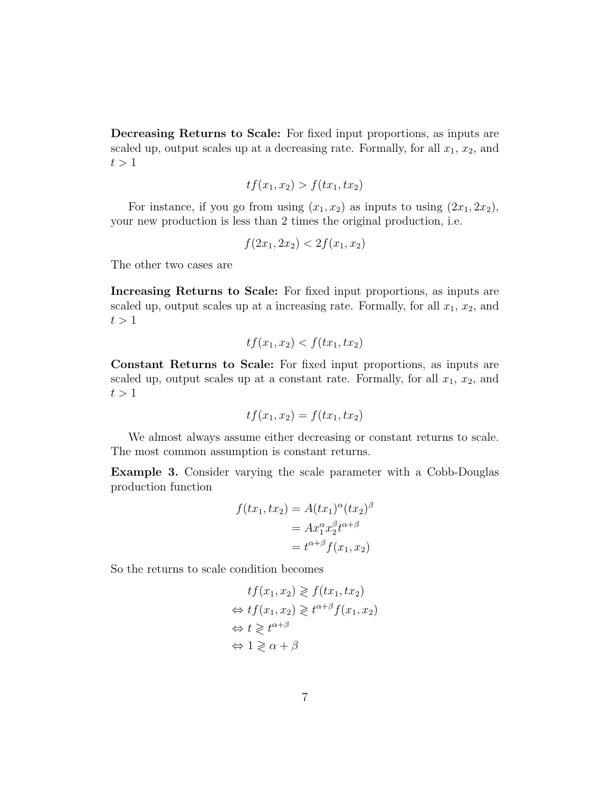Decreasing Returns to Scale: For fixed input proportions, as inputs are scaled up, output scales up at a decreasing rate. Formally, for all  $x_1, x_2$ , and  $t > 1$ 

$$
tf(x_1, x_2) > f(tx_1, tx_2)
$$

For instance, if you go from using  $(x_1, x_2)$  as inputs to using  $(2x_1, 2x_2)$ , your new production is less than 2 times the original production, i.e.

$$
f(2x_1, 2x_2) < 2f(x_1, x_2)
$$

The other two cases are

Increasing Returns to Scale: For fixed input proportions, as inputs are scaled up, output scales up at a increasing rate. Formally, for all  $x_1, x_2$ , and  $t > 1$ 

$$
tf(x_1, x_2) < f(tx_1, tx_2)
$$

Constant Returns to Scale: For fixed input proportions, as inputs are scaled up, output scales up at a constant rate. Formally, for all  $x_1, x_2$ , and  $t > 1$ 

$$
tf(x_1, x_2) = f(tx_1, tx_2)
$$

We almost always assume either decreasing or constant returns to scale. The most common assumption is constant returns.

Example 3. Consider varying the scale parameter with a Cobb-Douglas production function

$$
f(tx_1, tx_2) = A(tx_1)^{\alpha} (tx_2)^{\beta}
$$

$$
= Ax_1^{\alpha} x_2^{\beta} t^{\alpha+\beta}
$$

$$
= t^{\alpha+\beta} f(x_1, x_2)
$$

So the returns to scale condition becomes

$$
tf(x_1, x_2) \geqslant f(tx_1, tx_2)
$$
  
\n
$$
\Leftrightarrow tf(x_1, x_2) \geqslant t^{\alpha+\beta} f(x_1, x_2)
$$
  
\n
$$
\Leftrightarrow t \geqslant t^{\alpha+\beta}
$$
  
\n
$$
\Leftrightarrow 1 \geqslant \alpha + \beta
$$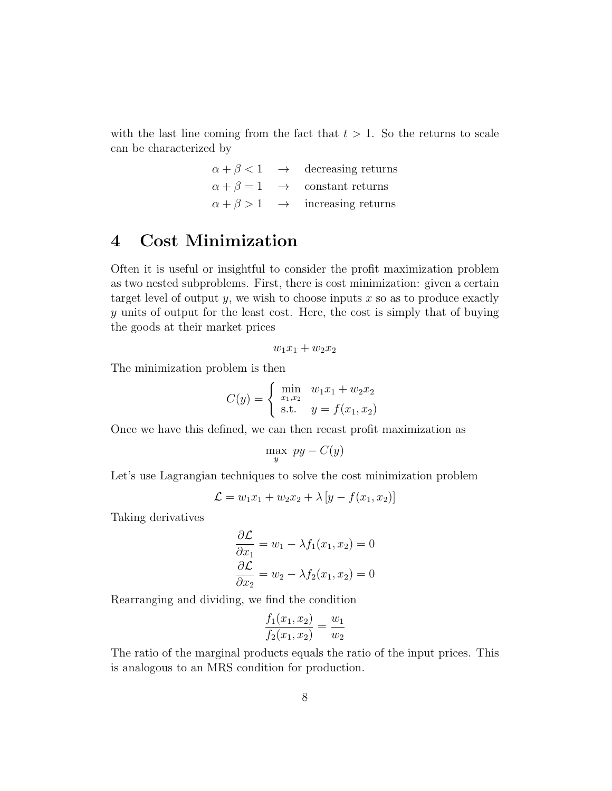with the last line coming from the fact that  $t > 1$ . So the returns to scale can be characterized by

|  | $\alpha + \beta < 1 \rightarrow$ decreasing returns |
|--|-----------------------------------------------------|
|  | $\alpha + \beta = 1 \rightarrow$ constant returns   |
|  | $\alpha + \beta > 1 \rightarrow$ increasing returns |

## 4 Cost Minimization

Often it is useful or insightful to consider the profit maximization problem as two nested subproblems. First, there is cost minimization: given a certain target level of output y, we wish to choose inputs  $x$  so as to produce exactly y units of output for the least cost. Here, the cost is simply that of buying the goods at their market prices

$$
w_1x_1+w_2x_2
$$

The minimization problem is then

$$
C(y) = \begin{cases} \min_{x_1, x_2} & w_1 x_1 + w_2 x_2 \\ \text{s.t.} & y = f(x_1, x_2) \end{cases}
$$

Once we have this defined, we can then recast profit maximization as

$$
\max_{y} \; py - C(y)
$$

Let's use Lagrangian techniques to solve the cost minimization problem

$$
\mathcal{L} = w_1 x_1 + w_2 x_2 + \lambda [y - f(x_1, x_2)]
$$

Taking derivatives

$$
\frac{\partial \mathcal{L}}{\partial x_1} = w_1 - \lambda f_1(x_1, x_2) = 0
$$

$$
\frac{\partial \mathcal{L}}{\partial x_2} = w_2 - \lambda f_2(x_1, x_2) = 0
$$

Rearranging and dividing, we find the condition

$$
\frac{f_1(x_1, x_2)}{f_2(x_1, x_2)} = \frac{w_1}{w_2}
$$

The ratio of the marginal products equals the ratio of the input prices. This is analogous to an MRS condition for production.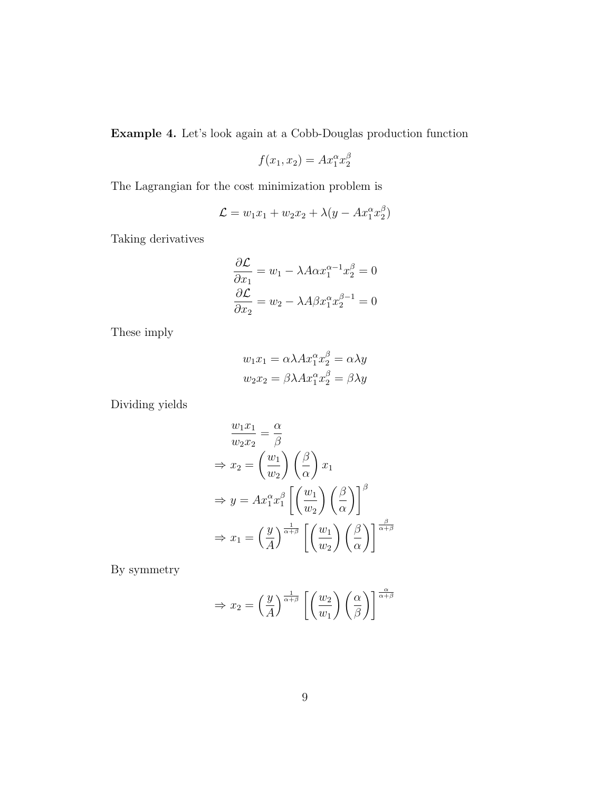Example 4. Let's look again at a Cobb-Douglas production function

$$
f(x_1, x_2) = Ax_1^{\alpha} x_2^{\beta}
$$

The Lagrangian for the cost minimization problem is

$$
\mathcal{L} = w_1 x_1 + w_2 x_2 + \lambda (y - Ax_1^{\alpha} x_2^{\beta})
$$

Taking derivatives

$$
\frac{\partial \mathcal{L}}{\partial x_1} = w_1 - \lambda A \alpha x_1^{\alpha - 1} x_2^{\beta} = 0
$$

$$
\frac{\partial \mathcal{L}}{\partial x_2} = w_2 - \lambda A \beta x_1^{\alpha} x_2^{\beta - 1} = 0
$$

These imply

$$
w_1x_1 = \alpha \lambda Ax_1^{\alpha} x_2^{\beta} = \alpha \lambda y
$$

$$
w_2x_2 = \beta \lambda Ax_1^{\alpha} x_2^{\beta} = \beta \lambda y
$$

Dividing yields

$$
\frac{w_1 x_1}{w_2 x_2} = \frac{\alpha}{\beta}
$$
\n
$$
\Rightarrow x_2 = \left(\frac{w_1}{w_2}\right) \left(\frac{\beta}{\alpha}\right) x_1
$$
\n
$$
\Rightarrow y = Ax_1^{\alpha} x_1^{\beta} \left[ \left(\frac{w_1}{w_2}\right) \left(\frac{\beta}{\alpha}\right) \right]^{\beta}
$$
\n
$$
\Rightarrow x_1 = \left(\frac{y}{A}\right)^{\frac{1}{\alpha+\beta}} \left[ \left(\frac{w_1}{w_2}\right) \left(\frac{\beta}{\alpha}\right) \right]^{\frac{\beta}{\alpha+\beta}}
$$

By symmetry

$$
\Rightarrow x_2 = \left(\frac{y}{A}\right)^{\frac{1}{\alpha+\beta}} \left[\left(\frac{w_2}{w_1}\right)\left(\frac{\alpha}{\beta}\right)\right]^{\frac{\alpha}{\alpha+\beta}}
$$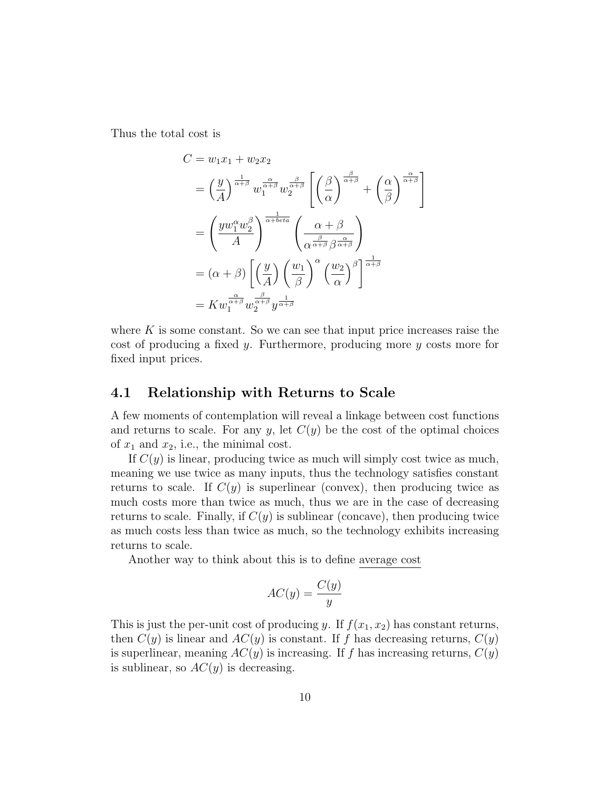Thus the total cost is

$$
C = w_1 x_1 + w_2 x_2
$$
  
=  $\left(\frac{y}{A}\right)^{\frac{1}{\alpha+\beta}} w_1^{\frac{\alpha}{\alpha+\beta}} w_2^{\frac{\beta}{\alpha+\beta}} \left[ \left(\frac{\beta}{\alpha}\right)^{\frac{\beta}{\alpha+\beta}} + \left(\frac{\alpha}{\beta}\right)^{\frac{\alpha}{\alpha+\beta}} \right]$   
=  $\left(\frac{y w_1^{\alpha} w_2^{\beta}}{A}\right)^{\frac{1}{\alpha + b \epsilon t a}} \left(\frac{\alpha + \beta}{\alpha^{\frac{\beta}{\alpha+\beta}} \beta^{\frac{\alpha}{\alpha+\beta}}}\right)$   
=  $(\alpha + \beta) \left[ \left(\frac{y}{A}\right) \left(\frac{w_1}{\beta}\right)^{\alpha} \left(\frac{w_2}{\alpha}\right)^{\beta} \right]^{\frac{1}{\alpha+\beta}}$   
=  $K w_1^{\frac{\alpha}{\alpha+\beta}} w_2^{\frac{\beta}{\alpha+\beta}} y^{\frac{1}{\alpha+\beta}}$ 

where  $K$  is some constant. So we can see that input price increases raise the cost of producing a fixed y. Furthermore, producing more y costs more for fixed input prices.

#### 4.1 Relationship with Returns to Scale

A few moments of contemplation will reveal a linkage between cost functions and returns to scale. For any y, let  $C(y)$  be the cost of the optimal choices of  $x_1$  and  $x_2$ , i.e., the minimal cost.

If  $C(y)$  is linear, producing twice as much will simply cost twice as much, meaning we use twice as many inputs, thus the technology satisfies constant returns to scale. If  $C(y)$  is superlinear (convex), then producing twice as much costs more than twice as much, thus we are in the case of decreasing returns to scale. Finally, if  $C(y)$  is sublinear (concave), then producing twice as much costs less than twice as much, so the technology exhibits increasing returns to scale.

Another way to think about this is to define average cost

$$
AC(y) = \frac{C(y)}{y}
$$

This is just the per-unit cost of producing y. If  $f(x_1, x_2)$  has constant returns, then  $C(y)$  is linear and  $AC(y)$  is constant. If f has decreasing returns,  $C(y)$ is superlinear, meaning  $AC(y)$  is increasing. If f has increasing returns,  $C(y)$ is sublinear, so  $AC(y)$  is decreasing.